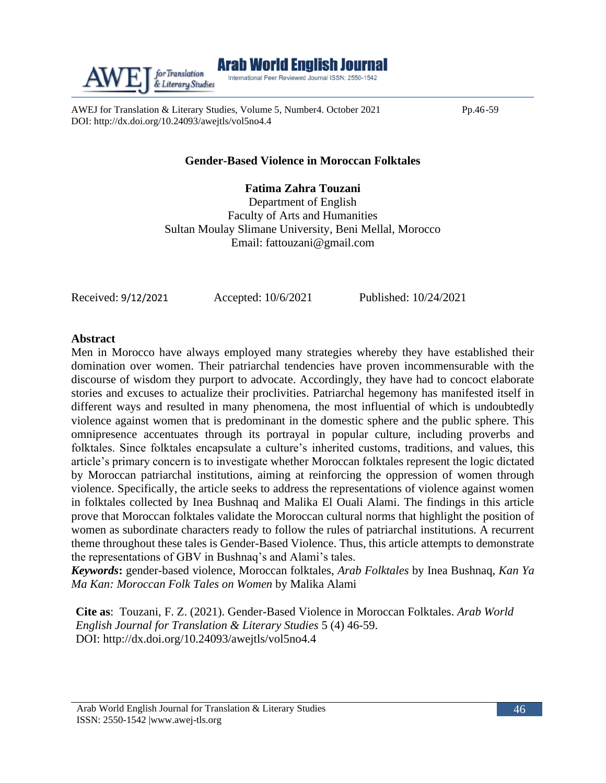

AWEJ for Translation & Literary Studies, Volume 5, Number4. October 2021 Pp.46-59 DOI: http://dx.doi.org/10.24093/awejtls/vol5no4.4

# **Gender-Based Violence in Moroccan Folktales**

**Fatima Zahra Touzani** Department of English Faculty of Arts and Humanities Sultan Moulay Slimane University, Beni Mellal, Morocco Email: [fattouzani@gmail.com](mailto:fattouzani@gmail.com)

Received: 9/12/2021 Accepted: 10/6/2021 Published: 10/24/2021

# **Abstract**

Men in Morocco have always employed many strategies whereby they have established their domination over women. Their patriarchal tendencies have proven incommensurable with the discourse of wisdom they purport to advocate. Accordingly, they have had to concoct elaborate stories and excuses to actualize their proclivities. Patriarchal hegemony has manifested itself in different ways and resulted in many phenomena, the most influential of which is undoubtedly violence against women that is predominant in the domestic sphere and the public sphere. This omnipresence accentuates through its portrayal in popular culture, including proverbs and folktales. Since folktales encapsulate a culture's inherited customs, traditions, and values, this article's primary concern is to investigate whether Moroccan folktales represent the logic dictated by Moroccan patriarchal institutions, aiming at reinforcing the oppression of women through violence. Specifically, the article seeks to address the representations of violence against women in folktales collected by Inea Bushnaq and Malika El Ouali Alami. The findings in this article prove that Moroccan folktales validate the Moroccan cultural norms that highlight the position of women as subordinate characters ready to follow the rules of patriarchal institutions. A recurrent theme throughout these tales is Gender-Based Violence. Thus, this article attempts to demonstrate the representations of GBV in Bushnaq's and Alami's tales.

*Keywords***:** gender-based violence, Moroccan folktales, *Arab Folktales* by Inea Bushnaq, *Kan Ya Ma Kan: Moroccan Folk Tales on Women* by Malika Alami

**Cite as**: Touzani, F. Z. (2021). Gender-Based Violence in Moroccan Folktales. *Arab World English Journal for Translation & Literary Studies* 5 (4) 46-59. DOI: http://dx.doi.org/10.24093/awejtls/vol5no4.4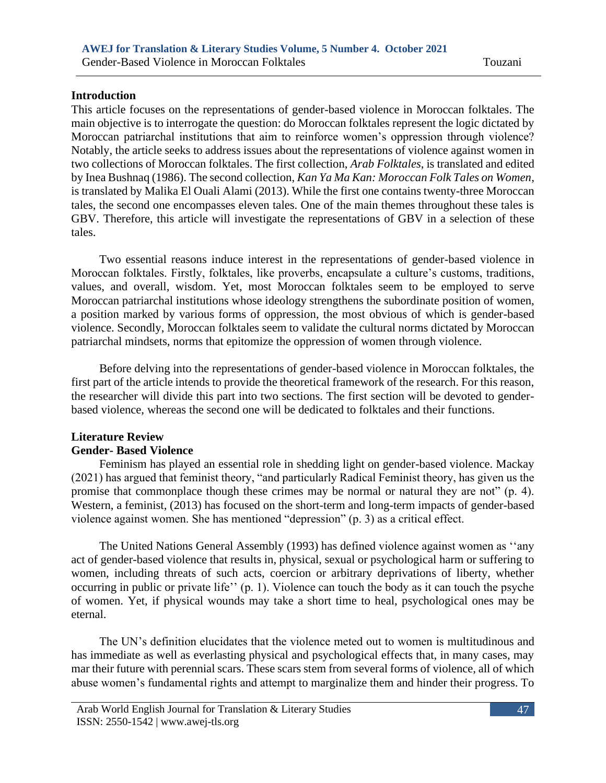# **Introduction**

This article focuses on the representations of gender-based violence in Moroccan folktales. The main objective is to interrogate the question: do Moroccan folktales represent the logic dictated by Moroccan patriarchal institutions that aim to reinforce women's oppression through violence? Notably, the article seeks to address issues about the representations of violence against women in two collections of Moroccan folktales. The first collection, *Arab Folktales*, is translated and edited by Inea Bushnaq (1986). The second collection, *Kan Ya Ma Kan: Moroccan Folk Tales on Women*, is translated by Malika El Ouali Alami (2013). While the first one contains twenty-three Moroccan tales, the second one encompasses eleven tales. One of the main themes throughout these tales is GBV. Therefore, this article will investigate the representations of GBV in a selection of these tales.

Two essential reasons induce interest in the representations of gender-based violence in Moroccan folktales. Firstly, folktales, like proverbs, encapsulate a culture's customs, traditions, values, and overall, wisdom. Yet, most Moroccan folktales seem to be employed to serve Moroccan patriarchal institutions whose ideology strengthens the subordinate position of women, a position marked by various forms of oppression, the most obvious of which is gender-based violence. Secondly, Moroccan folktales seem to validate the cultural norms dictated by Moroccan patriarchal mindsets, norms that epitomize the oppression of women through violence.

Before delving into the representations of gender-based violence in Moroccan folktales, the first part of the article intends to provide the theoretical framework of the research. For this reason, the researcher will divide this part into two sections. The first section will be devoted to genderbased violence, whereas the second one will be dedicated to folktales and their functions.

# **Literature Review**

# **Gender- Based Violence**

Feminism has played an essential role in shedding light on gender-based violence. Mackay (2021) has argued that feminist theory, "and particularly Radical Feminist theory, has given us the promise that commonplace though these crimes may be normal or natural they are not" (p. 4). Western, a feminist, (2013) has focused on the short-term and long-term impacts of gender-based violence against women. She has mentioned "depression" (p. 3) as a critical effect.

The United Nations General Assembly (1993) has defined violence against women as ''any act of gender-based violence that results in, physical, sexual or psychological harm or suffering to women, including threats of such acts, coercion or arbitrary deprivations of liberty, whether occurring in public or private life'' (p. 1). Violence can touch the body as it can touch the psyche of women. Yet, if physical wounds may take a short time to heal, psychological ones may be eternal.

The UN's definition elucidates that the violence meted out to women is multitudinous and has immediate as well as everlasting physical and psychological effects that, in many cases, may mar their future with perennial scars. These scars stem from several forms of violence, all of which abuse women's fundamental rights and attempt to marginalize them and hinder their progress. To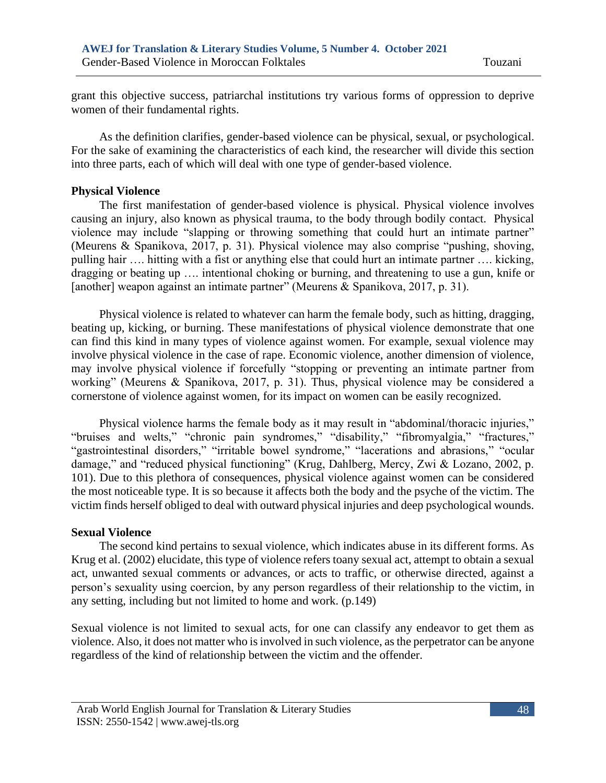grant this objective success, patriarchal institutions try various forms of oppression to deprive women of their fundamental rights.

As the definition clarifies, gender-based violence can be physical, sexual, or psychological. For the sake of examining the characteristics of each kind, the researcher will divide this section into three parts, each of which will deal with one type of gender-based violence.

#### **Physical Violence**

The first manifestation of gender-based violence is physical. Physical violence involves causing an injury, also known as physical trauma, to the body through bodily contact. Physical violence may include "slapping or throwing something that could hurt an intimate partner" (Meurens & Spanikova, 2017, p. 31). Physical violence may also comprise "pushing, shoving, pulling hair …. hitting with a fist or anything else that could hurt an intimate partner …. kicking, dragging or beating up …. intentional choking or burning, and threatening to use a gun, knife or [another] weapon against an intimate partner" (Meurens & Spanikova, 2017, p. 31).

Physical violence is related to whatever can harm the female body, such as hitting, dragging, beating up, kicking, or burning. These manifestations of physical violence demonstrate that one can find this kind in many types of violence against women. For example, sexual violence may involve physical violence in the case of rape. Economic violence, another dimension of violence, may involve physical violence if forcefully "stopping or preventing an intimate partner from working" (Meurens & Spanikova, 2017, p. 31). Thus, physical violence may be considered a cornerstone of violence against women, for its impact on women can be easily recognized.

Physical violence harms the female body as it may result in "abdominal/thoracic injuries," "bruises and welts," "chronic pain syndromes," "disability," "fibromyalgia," "fractures," "gastrointestinal disorders," "irritable bowel syndrome," "lacerations and abrasions," "ocular damage," and "reduced physical functioning" (Krug, Dahlberg, Mercy, Zwi & Lozano, 2002, p. 101). Due to this plethora of consequences, physical violence against women can be considered the most noticeable type. It is so because it affects both the body and the psyche of the victim. The victim finds herself obliged to deal with outward physical injuries and deep psychological wounds.

#### **Sexual Violence**

The second kind pertains to sexual violence, which indicates abuse in its different forms. As Krug et al. (2002) elucidate, this type of violence refers toany sexual act, attempt to obtain a sexual act, unwanted sexual comments or advances, or acts to traffic, or otherwise directed, against a person's sexuality using coercion, by any person regardless of their relationship to the victim, in any setting, including but not limited to home and work. (p.149)

Sexual violence is not limited to sexual acts, for one can classify any endeavor to get them as violence. Also, it does not matter who is involved in such violence, as the perpetrator can be anyone regardless of the kind of relationship between the victim and the offender.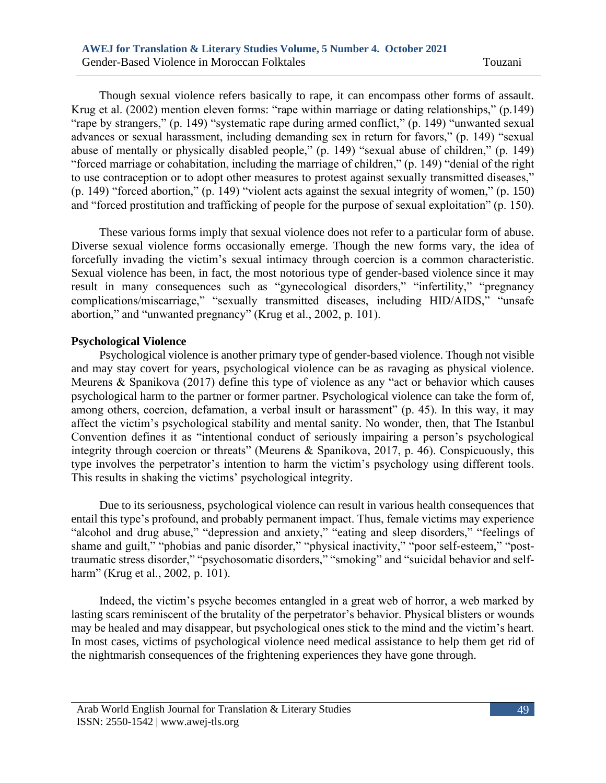Though sexual violence refers basically to rape, it can encompass other forms of assault. Krug et al. (2002) mention eleven forms: "rape within marriage or dating relationships," (p.149) "rape by strangers," (p. 149) "systematic rape during armed conflict," (p. 149) "unwanted sexual advances or sexual harassment, including demanding sex in return for favors," (p. 149) "sexual abuse of mentally or physically disabled people," (p. 149) "sexual abuse of children," (p. 149) "forced marriage or cohabitation, including the marriage of children," (p. 149) "denial of the right to use contraception or to adopt other measures to protest against sexually transmitted diseases," (p. 149) "forced abortion," (p. 149) "violent acts against the sexual integrity of women," (p. 150) and "forced prostitution and trafficking of people for the purpose of sexual exploitation" (p. 150).

 These various forms imply that sexual violence does not refer to a particular form of abuse. Diverse sexual violence forms occasionally emerge. Though the new forms vary, the idea of forcefully invading the victim's sexual intimacy through coercion is a common characteristic. Sexual violence has been, in fact, the most notorious type of gender-based violence since it may result in many consequences such as "gynecological disorders," "infertility," "pregnancy complications/miscarriage," "sexually transmitted diseases, including HID/AIDS," "unsafe abortion," and "unwanted pregnancy" (Krug et al., 2002, p. 101).

#### **Psychological Violence**

Psychological violence is another primary type of gender-based violence. Though not visible and may stay covert for years, psychological violence can be as ravaging as physical violence. Meurens & Spanikova (2017) define this type of violence as any "act or behavior which causes psychological harm to the partner or former partner. Psychological violence can take the form of, among others, coercion, defamation, a verbal insult or harassment" (p. 45). In this way, it may affect the victim's psychological stability and mental sanity. No wonder, then, that The Istanbul Convention defines it as "intentional conduct of seriously impairing a person's psychological integrity through coercion or threats" (Meurens & Spanikova, 2017, p. 46). Conspicuously, this type involves the perpetrator's intention to harm the victim's psychology using different tools. This results in shaking the victims' psychological integrity.

Due to its seriousness, psychological violence can result in various health consequences that entail this type's profound, and probably permanent impact. Thus, female victims may experience "alcohol and drug abuse," "depression and anxiety," "eating and sleep disorders," "feelings of shame and guilt," "phobias and panic disorder," "physical inactivity," "poor self-esteem," "posttraumatic stress disorder," "psychosomatic disorders," "smoking" and "suicidal behavior and selfharm" (Krug et al., 2002, p. 101).

Indeed, the victim's psyche becomes entangled in a great web of horror, a web marked by lasting scars reminiscent of the brutality of the perpetrator's behavior. Physical blisters or wounds may be healed and may disappear, but psychological ones stick to the mind and the victim's heart. In most cases, victims of psychological violence need medical assistance to help them get rid of the nightmarish consequences of the frightening experiences they have gone through.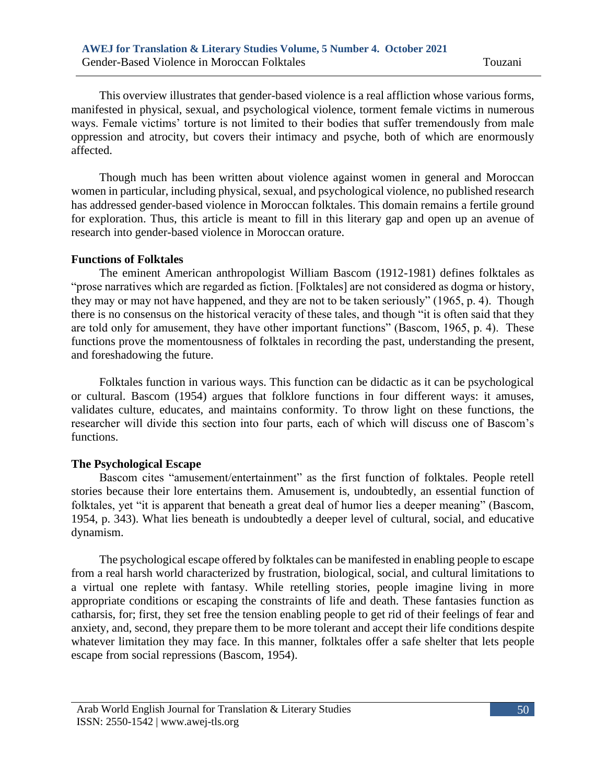This overview illustrates that gender-based violence is a real affliction whose various forms, manifested in physical, sexual, and psychological violence, torment female victims in numerous ways. Female victims' torture is not limited to their bodies that suffer tremendously from male oppression and atrocity, but covers their intimacy and psyche, both of which are enormously affected.

Though much has been written about violence against women in general and Moroccan women in particular, including physical, sexual, and psychological violence, no published research has addressed gender-based violence in Moroccan folktales. This domain remains a fertile ground for exploration. Thus, this article is meant to fill in this literary gap and open up an avenue of research into gender-based violence in Moroccan orature.

#### **Functions of Folktales**

The eminent American anthropologist William Bascom (1912-1981) defines folktales as "prose narratives which are regarded as fiction. [Folktales] are not considered as dogma or history, they may or may not have happened, and they are not to be taken seriously" (1965, p. 4). Though there is no consensus on the historical veracity of these tales, and though "it is often said that they are told only for amusement, they have other important functions" (Bascom, 1965, p. 4). These functions prove the momentousness of folktales in recording the past, understanding the present, and foreshadowing the future.

Folktales function in various ways. This function can be didactic as it can be psychological or cultural. Bascom (1954) argues that folklore functions in four different ways: it amuses, validates culture, educates, and maintains conformity. To throw light on these functions, the researcher will divide this section into four parts, each of which will discuss one of Bascom's functions.

#### **The Psychological Escape**

Bascom cites "amusement/entertainment" as the first function of folktales. People retell stories because their lore entertains them. Amusement is, undoubtedly, an essential function of folktales, yet "it is apparent that beneath a great deal of humor lies a deeper meaning" (Bascom, 1954, p. 343). What lies beneath is undoubtedly a deeper level of cultural, social, and educative dynamism.

The psychological escape offered by folktales can be manifested in enabling people to escape from a real harsh world characterized by frustration, biological, social, and cultural limitations to a virtual one replete with fantasy. While retelling stories, people imagine living in more appropriate conditions or escaping the constraints of life and death. These fantasies function as catharsis, for; first, they set free the tension enabling people to get rid of their feelings of fear and anxiety, and, second, they prepare them to be more tolerant and accept their life conditions despite whatever limitation they may face. In this manner, folktales offer a safe shelter that lets people escape from social repressions (Bascom, 1954).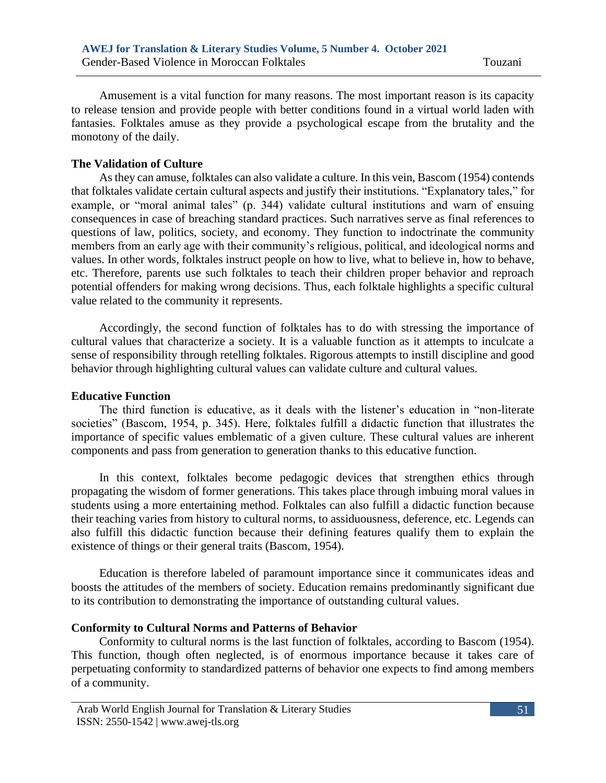Amusement is a vital function for many reasons. The most important reason is its capacity to release tension and provide people with better conditions found in a virtual world laden with fantasies. Folktales amuse as they provide a psychological escape from the brutality and the monotony of the daily.

#### **The Validation of Culture**

As they can amuse, folktales can also validate a culture. In this vein, Bascom (1954) contends that folktales validate certain cultural aspects and justify their institutions. "Explanatory tales," for example, or "moral animal tales" (p. 344) validate cultural institutions and warn of ensuing consequences in case of breaching standard practices. Such narratives serve as final references to questions of law, politics, society, and economy. They function to indoctrinate the community members from an early age with their community's religious, political, and ideological norms and values. In other words, folktales instruct people on how to live, what to believe in, how to behave, etc. Therefore, parents use such folktales to teach their children proper behavior and reproach potential offenders for making wrong decisions. Thus, each folktale highlights a specific cultural value related to the community it represents.

Accordingly, the second function of folktales has to do with stressing the importance of cultural values that characterize a society. It is a valuable function as it attempts to inculcate a sense of responsibility through retelling folktales. Rigorous attempts to instill discipline and good behavior through highlighting cultural values can validate culture and cultural values.

#### **Educative Function**

The third function is educative, as it deals with the listener's education in "non-literate societies" (Bascom, 1954, p. 345). Here, folktales fulfill a didactic function that illustrates the importance of specific values emblematic of a given culture. These cultural values are inherent components and pass from generation to generation thanks to this educative function.

In this context, folktales become pedagogic devices that strengthen ethics through propagating the wisdom of former generations. This takes place through imbuing moral values in students using a more entertaining method. Folktales can also fulfill a didactic function because their teaching varies from history to cultural norms, to assiduousness, deference, etc. Legends can also fulfill this didactic function because their defining features qualify them to explain the existence of things or their general traits (Bascom, 1954).

Education is therefore labeled of paramount importance since it communicates ideas and boosts the attitudes of the members of society. Education remains predominantly significant due to its contribution to demonstrating the importance of outstanding cultural values.

# **Conformity to Cultural Norms and Patterns of Behavior**

Conformity to cultural norms is the last function of folktales, according to Bascom (1954). This function, though often neglected, is of enormous importance because it takes care of perpetuating conformity to standardized patterns of behavior one expects to find among members of a community.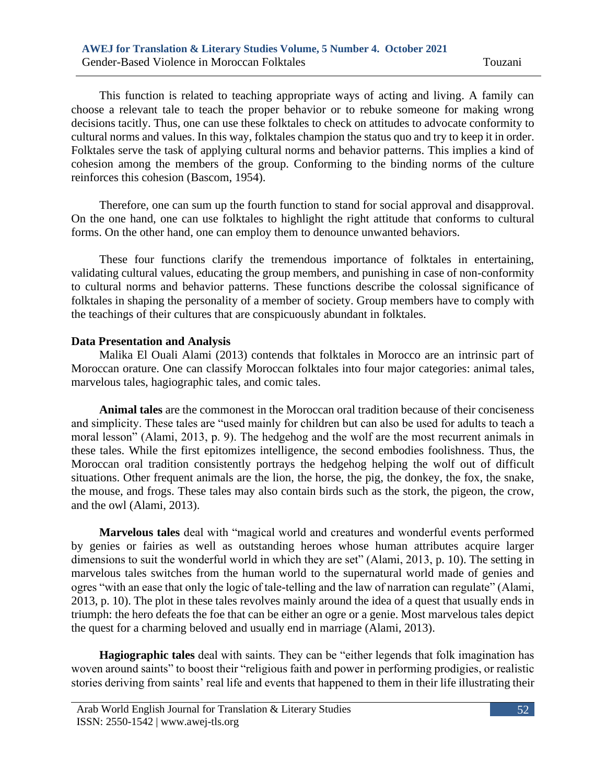This function is related to teaching appropriate ways of acting and living. A family can choose a relevant tale to teach the proper behavior or to rebuke someone for making wrong decisions tacitly. Thus, one can use these folktales to check on attitudes to advocate conformity to cultural norms and values. In this way, folktales champion the status quo and try to keep it in order. Folktales serve the task of applying cultural norms and behavior patterns. This implies a kind of cohesion among the members of the group. Conforming to the binding norms of the culture reinforces this cohesion (Bascom, 1954).

Therefore, one can sum up the fourth function to stand for social approval and disapproval. On the one hand, one can use folktales to highlight the right attitude that conforms to cultural forms. On the other hand, one can employ them to denounce unwanted behaviors.

These four functions clarify the tremendous importance of folktales in entertaining, validating cultural values, educating the group members, and punishing in case of non-conformity to cultural norms and behavior patterns. These functions describe the colossal significance of folktales in shaping the personality of a member of society. Group members have to comply with the teachings of their cultures that are conspicuously abundant in folktales.

#### **Data Presentation and Analysis**

Malika El Ouali Alami (2013) contends that folktales in Morocco are an intrinsic part of Moroccan orature. One can classify Moroccan folktales into four major categories: animal tales, marvelous tales, hagiographic tales, and comic tales.

**Animal tales** are the commonest in the Moroccan oral tradition because of their conciseness and simplicity. These tales are "used mainly for children but can also be used for adults to teach a moral lesson" (Alami, 2013, p. 9). The hedgehog and the wolf are the most recurrent animals in these tales. While the first epitomizes intelligence, the second embodies foolishness. Thus, the Moroccan oral tradition consistently portrays the hedgehog helping the wolf out of difficult situations. Other frequent animals are the lion, the horse, the pig, the donkey, the fox, the snake, the mouse, and frogs. These tales may also contain birds such as the stork, the pigeon, the crow, and the owl (Alami, 2013).

**Marvelous tales** deal with "magical world and creatures and wonderful events performed by genies or fairies as well as outstanding heroes whose human attributes acquire larger dimensions to suit the wonderful world in which they are set" (Alami, 2013, p. 10). The setting in marvelous tales switches from the human world to the supernatural world made of genies and ogres "with an ease that only the logic of tale-telling and the law of narration can regulate" (Alami, 2013, p. 10). The plot in these tales revolves mainly around the idea of a quest that usually ends in triumph: the hero defeats the foe that can be either an ogre or a genie. Most marvelous tales depict the quest for a charming beloved and usually end in marriage (Alami, 2013).

**Hagiographic tales** deal with saints. They can be "either legends that folk imagination has woven around saints" to boost their "religious faith and power in performing prodigies, or realistic stories deriving from saints' real life and events that happened to them in their life illustrating their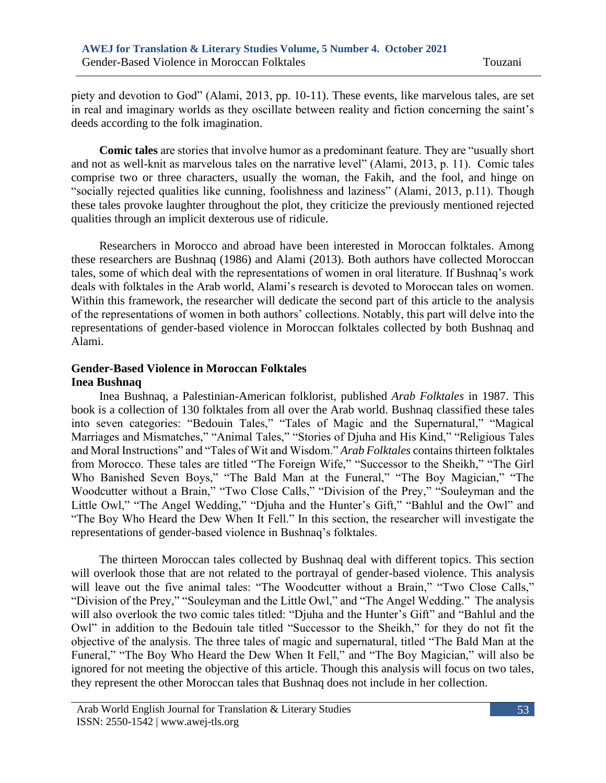piety and devotion to God" (Alami, 2013, pp. 10-11). These events, like marvelous tales, are set in real and imaginary worlds as they oscillate between reality and fiction concerning the saint's deeds according to the folk imagination.

**Comic tales** are stories that involve humor as a predominant feature. They are "usually short and not as well-knit as marvelous tales on the narrative level" (Alami, 2013, p. 11). Comic tales comprise two or three characters, usually the woman, the Fakih, and the fool, and hinge on "socially rejected qualities like cunning, foolishness and laziness" (Alami, 2013, p.11). Though these tales provoke laughter throughout the plot, they criticize the previously mentioned rejected qualities through an implicit dexterous use of ridicule.

Researchers in Morocco and abroad have been interested in Moroccan folktales. Among these researchers are Bushnaq (1986) and Alami (2013). Both authors have collected Moroccan tales, some of which deal with the representations of women in oral literature. If Bushnaq's work deals with folktales in the Arab world, Alami's research is devoted to Moroccan tales on women. Within this framework, the researcher will dedicate the second part of this article to the analysis of the representations of women in both authors' collections. Notably, this part will delve into the representations of gender-based violence in Moroccan folktales collected by both Bushnaq and Alami.

# **Gender-Based Violence in Moroccan Folktales Inea Bushnaq**

Inea Bushnaq, a Palestinian-American folklorist, published *Arab Folktales* in 1987. This book is a collection of 130 folktales from all over the Arab world. Bushnaq classified these tales into seven categories: "Bedouin Tales," "Tales of Magic and the Supernatural," "Magical Marriages and Mismatches," "Animal Tales," "Stories of Djuha and His Kind," "Religious Tales and Moral Instructions" and "Tales of Wit and Wisdom." *Arab Folktales* contains thirteen folktales from Morocco. These tales are titled "The Foreign Wife," "Successor to the Sheikh," "The Girl Who Banished Seven Boys," "The Bald Man at the Funeral," "The Boy Magician," "The Woodcutter without a Brain," "Two Close Calls," "Division of the Prey," "Souleyman and the Little Owl," "The Angel Wedding," "Djuha and the Hunter's Gift," "Bahlul and the Owl" and "The Boy Who Heard the Dew When It Fell." In this section, the researcher will investigate the representations of gender-based violence in Bushnaq's folktales.

The thirteen Moroccan tales collected by Bushnaq deal with different topics. This section will overlook those that are not related to the portrayal of gender-based violence. This analysis will leave out the five animal tales: "The Woodcutter without a Brain," "Two Close Calls," "Division of the Prey," "Souleyman and the Little Owl," and "The Angel Wedding." The analysis will also overlook the two comic tales titled: "Djuha and the Hunter's Gift" and "Bahlul and the Owl" in addition to the Bedouin tale titled "Successor to the Sheikh," for they do not fit the objective of the analysis. The three tales of magic and supernatural, titled "The Bald Man at the Funeral," "The Boy Who Heard the Dew When It Fell," and "The Boy Magician," will also be ignored for not meeting the objective of this article. Though this analysis will focus on two tales, they represent the other Moroccan tales that Bushnaq does not include in her collection.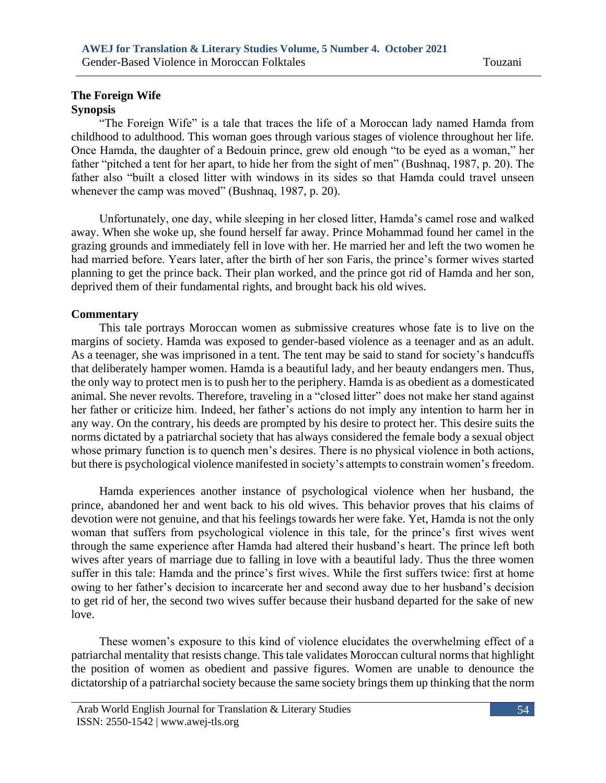#### **The Foreign Wife Synopsis**

"The Foreign Wife" is a tale that traces the life of a Moroccan lady named Hamda from childhood to adulthood. This woman goes through various stages of violence throughout her life. Once Hamda, the daughter of a Bedouin prince, grew old enough "to be eyed as a woman," her father "pitched a tent for her apart, to hide her from the sight of men" (Bushnaq, 1987, p. 20). The father also "built a closed litter with windows in its sides so that Hamda could travel unseen whenever the camp was moved" (Bushnaq, 1987, p. 20).

Unfortunately, one day, while sleeping in her closed litter, Hamda's camel rose and walked away. When she woke up, she found herself far away. Prince Mohammad found her camel in the grazing grounds and immediately fell in love with her. He married her and left the two women he had married before. Years later, after the birth of her son Faris, the prince's former wives started planning to get the prince back. Their plan worked, and the prince got rid of Hamda and her son, deprived them of their fundamental rights, and brought back his old wives.

#### **Commentary**

This tale portrays Moroccan women as submissive creatures whose fate is to live on the margins of society. Hamda was exposed to gender-based violence as a teenager and as an adult. As a teenager, she was imprisoned in a tent. The tent may be said to stand for society's handcuffs that deliberately hamper women. Hamda is a beautiful lady, and her beauty endangers men. Thus, the only way to protect men is to push her to the periphery. Hamda is as obedient as a domesticated animal. She never revolts. Therefore, traveling in a "closed litter" does not make her stand against her father or criticize him. Indeed, her father's actions do not imply any intention to harm her in any way. On the contrary, his deeds are prompted by his desire to protect her. This desire suits the norms dictated by a patriarchal society that has always considered the female body a sexual object whose primary function is to quench men's desires. There is no physical violence in both actions, but there is psychological violence manifested in society's attempts to constrain women's freedom.

Hamda experiences another instance of psychological violence when her husband, the prince, abandoned her and went back to his old wives. This behavior proves that his claims of devotion were not genuine, and that his feelings towards her were fake. Yet, Hamda is not the only woman that suffers from psychological violence in this tale, for the prince's first wives went through the same experience after Hamda had altered their husband's heart. The prince left both wives after years of marriage due to falling in love with a beautiful lady. Thus the three women suffer in this tale: Hamda and the prince's first wives. While the first suffers twice: first at home owing to her father's decision to incarcerate her and second away due to her husband's decision to get rid of her, the second two wives suffer because their husband departed for the sake of new love.

These women's exposure to this kind of violence elucidates the overwhelming effect of a patriarchal mentality that resists change. This tale validates Moroccan cultural norms that highlight the position of women as obedient and passive figures. Women are unable to denounce the dictatorship of a patriarchal society because the same society brings them up thinking that the norm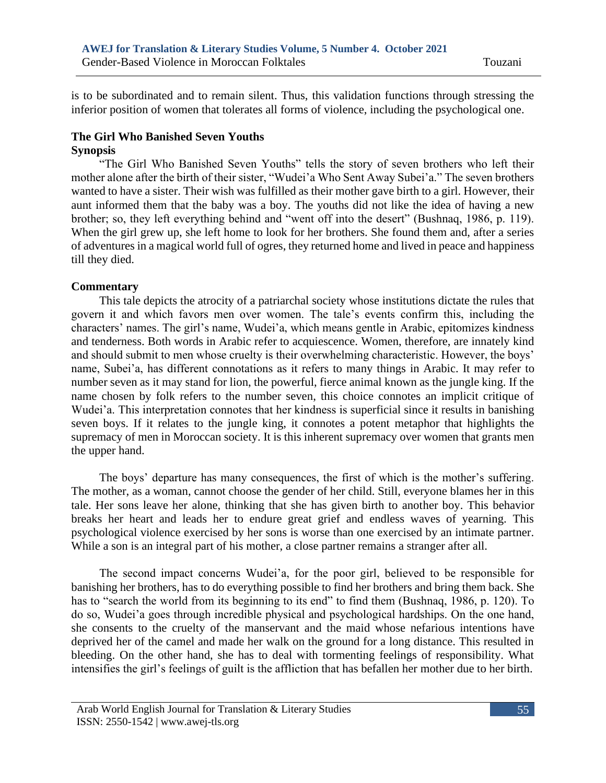is to be subordinated and to remain silent. Thus, this validation functions through stressing the inferior position of women that tolerates all forms of violence, including the psychological one.

#### **The Girl Who Banished Seven Youths Synopsis**

"The Girl Who Banished Seven Youths" tells the story of seven brothers who left their mother alone after the birth of their sister, "Wudei'a Who Sent Away Subei'a." The seven brothers wanted to have a sister. Their wish was fulfilled as their mother gave birth to a girl. However, their aunt informed them that the baby was a boy. The youths did not like the idea of having a new brother; so, they left everything behind and "went off into the desert" (Bushnaq, 1986, p. 119). When the girl grew up, she left home to look for her brothers. She found them and, after a series of adventures in a magical world full of ogres, they returned home and lived in peace and happiness till they died.

# **Commentary**

This tale depicts the atrocity of a patriarchal society whose institutions dictate the rules that govern it and which favors men over women. The tale's events confirm this, including the characters' names. The girl's name, Wudei'a, which means gentle in Arabic, epitomizes kindness and tenderness. Both words in Arabic refer to acquiescence. Women, therefore, are innately kind and should submit to men whose cruelty is their overwhelming characteristic. However, the boys' name, Subei'a, has different connotations as it refers to many things in Arabic. It may refer to number seven as it may stand for lion, the powerful, fierce animal known as the jungle king. If the name chosen by folk refers to the number seven, this choice connotes an implicit critique of Wudei'a. This interpretation connotes that her kindness is superficial since it results in banishing seven boys. If it relates to the jungle king, it connotes a potent metaphor that highlights the supremacy of men in Moroccan society. It is this inherent supremacy over women that grants men the upper hand.

The boys' departure has many consequences, the first of which is the mother's suffering. The mother, as a woman, cannot choose the gender of her child. Still, everyone blames her in this tale. Her sons leave her alone, thinking that she has given birth to another boy. This behavior breaks her heart and leads her to endure great grief and endless waves of yearning. This psychological violence exercised by her sons is worse than one exercised by an intimate partner. While a son is an integral part of his mother, a close partner remains a stranger after all.

The second impact concerns Wudei'a, for the poor girl, believed to be responsible for banishing her brothers, has to do everything possible to find her brothers and bring them back. She has to "search the world from its beginning to its end" to find them (Bushnaq, 1986, p. 120). To do so, Wudei'a goes through incredible physical and psychological hardships. On the one hand, she consents to the cruelty of the manservant and the maid whose nefarious intentions have deprived her of the camel and made her walk on the ground for a long distance. This resulted in bleeding. On the other hand, she has to deal with tormenting feelings of responsibility. What intensifies the girl's feelings of guilt is the affliction that has befallen her mother due to her birth.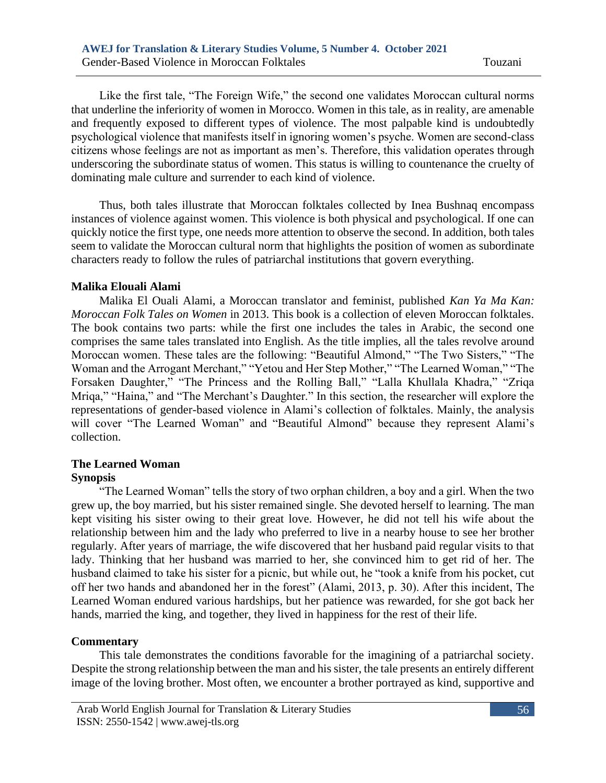Like the first tale, "The Foreign Wife," the second one validates Moroccan cultural norms that underline the inferiority of women in Morocco. Women in this tale, as in reality, are amenable and frequently exposed to different types of violence. The most palpable kind is undoubtedly psychological violence that manifests itself in ignoring women's psyche. Women are second-class citizens whose feelings are not as important as men's. Therefore, this validation operates through underscoring the subordinate status of women. This status is willing to countenance the cruelty of dominating male culture and surrender to each kind of violence.

Thus, both tales illustrate that Moroccan folktales collected by Inea Bushnaq encompass instances of violence against women. This violence is both physical and psychological. If one can quickly notice the first type, one needs more attention to observe the second. In addition, both tales seem to validate the Moroccan cultural norm that highlights the position of women as subordinate characters ready to follow the rules of patriarchal institutions that govern everything.

#### **Malika Elouali Alami**

Malika El Ouali Alami, a Moroccan translator and feminist, published *Kan Ya Ma Kan: Moroccan Folk Tales on Women* in 2013. This book is a collection of eleven Moroccan folktales. The book contains two parts: while the first one includes the tales in Arabic, the second one comprises the same tales translated into English. As the title implies, all the tales revolve around Moroccan women. These tales are the following: "Beautiful Almond," "The Two Sisters," "The Woman and the Arrogant Merchant," "Yetou and Her Step Mother," "The Learned Woman," "The Forsaken Daughter," "The Princess and the Rolling Ball," "Lalla Khullala Khadra," "Zriqa Mriqa," "Haina," and "The Merchant's Daughter." In this section, the researcher will explore the representations of gender-based violence in Alami's collection of folktales. Mainly, the analysis will cover "The Learned Woman" and "Beautiful Almond" because they represent Alami's collection.

# **The Learned Woman**

# **Synopsis**

"The Learned Woman" tells the story of two orphan children, a boy and a girl. When the two grew up, the boy married, but his sister remained single. She devoted herself to learning. The man kept visiting his sister owing to their great love. However, he did not tell his wife about the relationship between him and the lady who preferred to live in a nearby house to see her brother regularly. After years of marriage, the wife discovered that her husband paid regular visits to that lady. Thinking that her husband was married to her, she convinced him to get rid of her. The husband claimed to take his sister for a picnic, but while out, he "took a knife from his pocket, cut off her two hands and abandoned her in the forest" (Alami, 2013, p. 30). After this incident, The Learned Woman endured various hardships, but her patience was rewarded, for she got back her hands, married the king, and together, they lived in happiness for the rest of their life.

# **Commentary**

This tale demonstrates the conditions favorable for the imagining of a patriarchal society. Despite the strong relationship between the man and his sister, the tale presents an entirely different image of the loving brother. Most often, we encounter a brother portrayed as kind, supportive and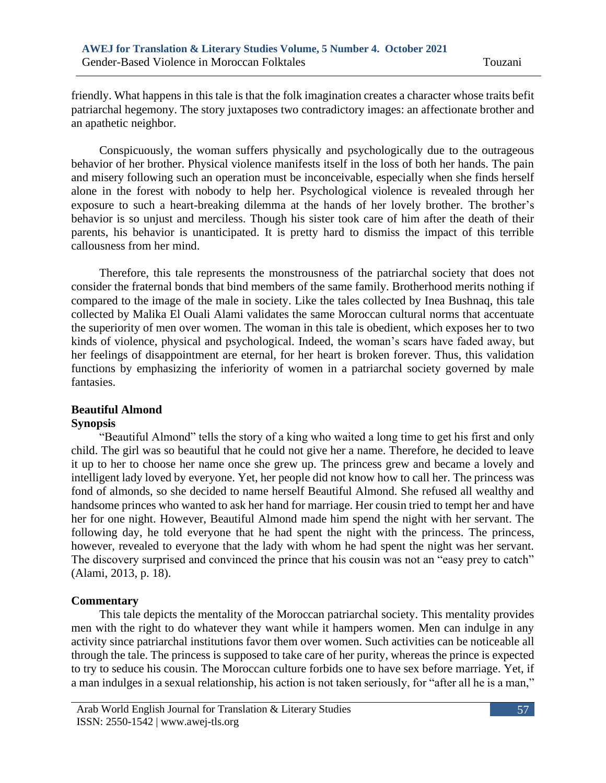friendly. What happens in this tale is that the folk imagination creates a character whose traits befit patriarchal hegemony. The story juxtaposes two contradictory images: an affectionate brother and an apathetic neighbor.

Conspicuously, the woman suffers physically and psychologically due to the outrageous behavior of her brother. Physical violence manifests itself in the loss of both her hands. The pain and misery following such an operation must be inconceivable, especially when she finds herself alone in the forest with nobody to help her. Psychological violence is revealed through her exposure to such a heart-breaking dilemma at the hands of her lovely brother. The brother's behavior is so unjust and merciless. Though his sister took care of him after the death of their parents, his behavior is unanticipated. It is pretty hard to dismiss the impact of this terrible callousness from her mind.

Therefore, this tale represents the monstrousness of the patriarchal society that does not consider the fraternal bonds that bind members of the same family. Brotherhood merits nothing if compared to the image of the male in society. Like the tales collected by Inea Bushnaq, this tale collected by Malika El Ouali Alami validates the same Moroccan cultural norms that accentuate the superiority of men over women. The woman in this tale is obedient, which exposes her to two kinds of violence, physical and psychological. Indeed, the woman's scars have faded away, but her feelings of disappointment are eternal, for her heart is broken forever. Thus, this validation functions by emphasizing the inferiority of women in a patriarchal society governed by male fantasies.

# **Beautiful Almond**

#### **Synopsis**

"Beautiful Almond" tells the story of a king who waited a long time to get his first and only child. The girl was so beautiful that he could not give her a name. Therefore, he decided to leave it up to her to choose her name once she grew up. The princess grew and became a lovely and intelligent lady loved by everyone. Yet, her people did not know how to call her. The princess was fond of almonds, so she decided to name herself Beautiful Almond. She refused all wealthy and handsome princes who wanted to ask her hand for marriage. Her cousin tried to tempt her and have her for one night. However, Beautiful Almond made him spend the night with her servant. The following day, he told everyone that he had spent the night with the princess. The princess, however, revealed to everyone that the lady with whom he had spent the night was her servant. The discovery surprised and convinced the prince that his cousin was not an "easy prey to catch" (Alami, 2013, p. 18).

# **Commentary**

This tale depicts the mentality of the Moroccan patriarchal society. This mentality provides men with the right to do whatever they want while it hampers women. Men can indulge in any activity since patriarchal institutions favor them over women. Such activities can be noticeable all through the tale. The princess is supposed to take care of her purity, whereas the prince is expected to try to seduce his cousin. The Moroccan culture forbids one to have sex before marriage. Yet, if a man indulges in a sexual relationship, his action is not taken seriously, for "after all he is a man,"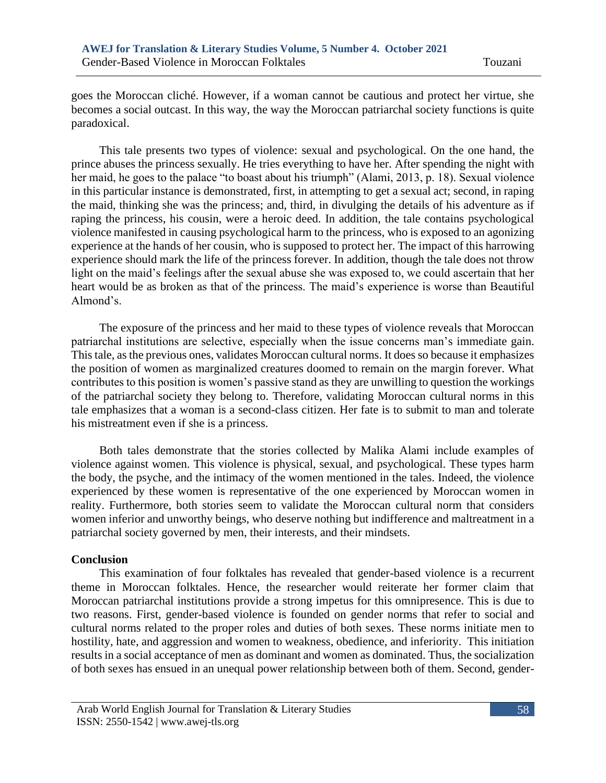goes the Moroccan cliché. However, if a woman cannot be cautious and protect her virtue, she becomes a social outcast. In this way, the way the Moroccan patriarchal society functions is quite paradoxical.

This tale presents two types of violence: sexual and psychological. On the one hand, the prince abuses the princess sexually. He tries everything to have her. After spending the night with her maid, he goes to the palace "to boast about his triumph" (Alami, 2013, p. 18). Sexual violence in this particular instance is demonstrated, first, in attempting to get a sexual act; second, in raping the maid, thinking she was the princess; and, third, in divulging the details of his adventure as if raping the princess, his cousin, were a heroic deed. In addition, the tale contains psychological violence manifested in causing psychological harm to the princess, who is exposed to an agonizing experience at the hands of her cousin, who is supposed to protect her. The impact of this harrowing experience should mark the life of the princess forever. In addition, though the tale does not throw light on the maid's feelings after the sexual abuse she was exposed to, we could ascertain that her heart would be as broken as that of the princess. The maid's experience is worse than Beautiful Almond's.

The exposure of the princess and her maid to these types of violence reveals that Moroccan patriarchal institutions are selective, especially when the issue concerns man's immediate gain. This tale, as the previous ones, validates Moroccan cultural norms. It does so because it emphasizes the position of women as marginalized creatures doomed to remain on the margin forever. What contributes to this position is women's passive stand as they are unwilling to question the workings of the patriarchal society they belong to. Therefore, validating Moroccan cultural norms in this tale emphasizes that a woman is a second-class citizen. Her fate is to submit to man and tolerate his mistreatment even if she is a princess.

Both tales demonstrate that the stories collected by Malika Alami include examples of violence against women. This violence is physical, sexual, and psychological. These types harm the body, the psyche, and the intimacy of the women mentioned in the tales. Indeed, the violence experienced by these women is representative of the one experienced by Moroccan women in reality. Furthermore, both stories seem to validate the Moroccan cultural norm that considers women inferior and unworthy beings, who deserve nothing but indifference and maltreatment in a patriarchal society governed by men, their interests, and their mindsets.

#### **Conclusion**

This examination of four folktales has revealed that gender-based violence is a recurrent theme in Moroccan folktales. Hence, the researcher would reiterate her former claim that Moroccan patriarchal institutions provide a strong impetus for this omnipresence. This is due to two reasons. First, gender-based violence is founded on gender norms that refer to social and cultural norms related to the proper roles and duties of both sexes. These norms initiate men to hostility, hate, and aggression and women to weakness, obedience, and inferiority. This initiation results in a social acceptance of men as dominant and women as dominated. Thus, the socialization of both sexes has ensued in an unequal power relationship between both of them. Second, gender-